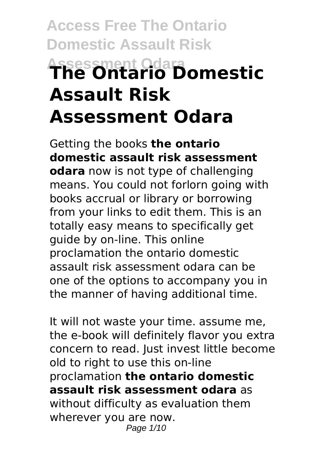# **Access Free The Ontario Domestic Assault Risk Assessment Odara The Ontario Domestic Assault Risk Assessment Odara**

Getting the books **the ontario domestic assault risk assessment odara** now is not type of challenging means. You could not forlorn going with books accrual or library or borrowing from your links to edit them. This is an totally easy means to specifically get guide by on-line. This online proclamation the ontario domestic assault risk assessment odara can be one of the options to accompany you in the manner of having additional time.

It will not waste your time. assume me, the e-book will definitely flavor you extra concern to read. Just invest little become old to right to use this on-line proclamation **the ontario domestic assault risk assessment odara** as without difficulty as evaluation them wherever you are now. Page 1/10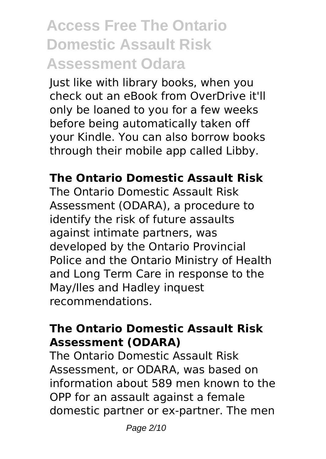# **Access Free The Ontario Domestic Assault Risk Assessment Odara**

Just like with library books, when you check out an eBook from OverDrive it'll only be loaned to you for a few weeks before being automatically taken off your Kindle. You can also borrow books through their mobile app called Libby.

### **The Ontario Domestic Assault Risk**

The Ontario Domestic Assault Risk Assessment (ODARA), a procedure to identify the risk of future assaults against intimate partners, was developed by the Ontario Provincial Police and the Ontario Ministry of Health and Long Term Care in response to the May/Iles and Hadley inquest recommendations.

### **The Ontario Domestic Assault Risk Assessment (ODARA)**

The Ontario Domestic Assault Risk Assessment, or ODARA, was based on information about 589 men known to the OPP for an assault against a female domestic partner or ex-partner. The men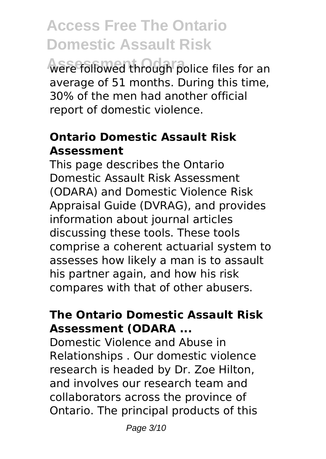were followed through police files for an average of 51 months. During this time, 30% of the men had another official report of domestic violence.

## **Ontario Domestic Assault Risk Assessment**

This page describes the Ontario Domestic Assault Risk Assessment (ODARA) and Domestic Violence Risk Appraisal Guide (DVRAG), and provides information about journal articles discussing these tools. These tools comprise a coherent actuarial system to assesses how likely a man is to assault his partner again, and how his risk compares with that of other abusers.

### **The Ontario Domestic Assault Risk Assessment (ODARA ...**

Domestic Violence and Abuse in Relationships . Our domestic violence research is headed by Dr. Zoe Hilton, and involves our research team and collaborators across the province of Ontario. The principal products of this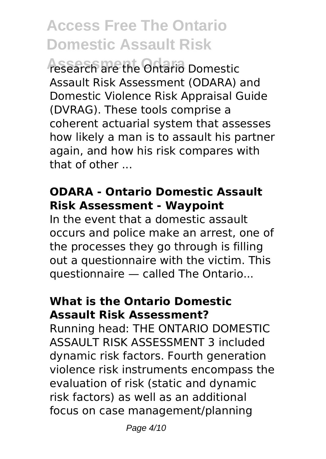**Assessment Odara** research are the Ontario Domestic Assault Risk Assessment (ODARA) and Domestic Violence Risk Appraisal Guide (DVRAG). These tools comprise a coherent actuarial system that assesses how likely a man is to assault his partner again, and how his risk compares with that of other ...

### **ODARA - Ontario Domestic Assault Risk Assessment - Waypoint**

In the event that a domestic assault occurs and police make an arrest, one of the processes they go through is filling out a questionnaire with the victim. This questionnaire — called The Ontario...

## **What is the Ontario Domestic Assault Risk Assessment?**

Running head: THE ONTARIO DOMESTIC ASSAULT RISK ASSESSMENT 3 included dynamic risk factors. Fourth generation violence risk instruments encompass the evaluation of risk (static and dynamic risk factors) as well as an additional focus on case management/planning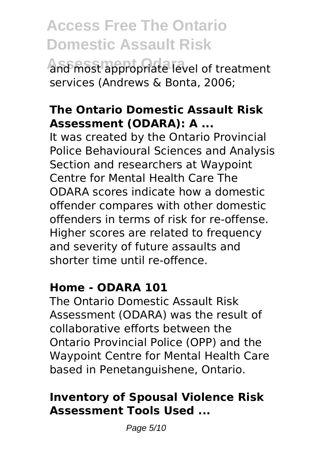**Assessment Odara** and most appropriate level of treatment services (Andrews & Bonta, 2006;

### **The Ontario Domestic Assault Risk Assessment (ODARA): A ...**

It was created by the Ontario Provincial Police Behavioural Sciences and Analysis Section and researchers at Waypoint Centre for Mental Health Care The ODARA scores indicate how a domestic offender compares with other domestic offenders in terms of risk for re-offense. Higher scores are related to frequency and severity of future assaults and shorter time until re-offence.

#### **Home - ODARA 101**

The Ontario Domestic Assault Risk Assessment (ODARA) was the result of collaborative efforts between the Ontario Provincial Police (OPP) and the Waypoint Centre for Mental Health Care based in Penetanguishene, Ontario.

## **Inventory of Spousal Violence Risk Assessment Tools Used ...**

Page 5/10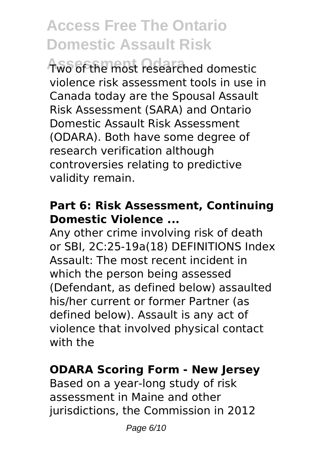**Assessment Odara** Two of the most researched domestic violence risk assessment tools in use in Canada today are the Spousal Assault Risk Assessment (SARA) and Ontario Domestic Assault Risk Assessment (ODARA). Both have some degree of research verification although controversies relating to predictive validity remain.

#### **Part 6: Risk Assessment, Continuing Domestic Violence ...**

Any other crime involving risk of death or SBI, 2C:25-19a(18) DEFINITIONS Index Assault: The most recent incident in which the person being assessed (Defendant, as defined below) assaulted his/her current or former Partner (as defined below). Assault is any act of violence that involved physical contact with the

### **ODARA Scoring Form - New Jersey**

Based on a year-long study of risk assessment in Maine and other jurisdictions, the Commission in 2012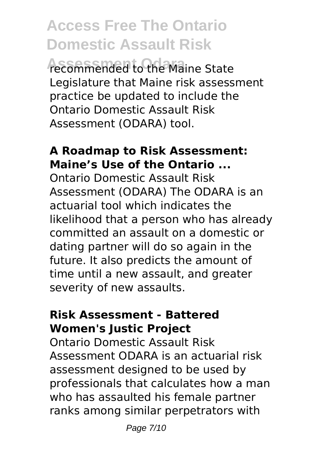**Assessment Odara** recommended to the Maine State Legislature that Maine risk assessment practice be updated to include the Ontario Domestic Assault Risk Assessment (ODARA) tool.

### **A Roadmap to Risk Assessment: Maine's Use of the Ontario ...**

Ontario Domestic Assault Risk Assessment (ODARA) The ODARA is an actuarial tool which indicates the likelihood that a person who has already committed an assault on a domestic or dating partner will do so again in the future. It also predicts the amount of time until a new assault, and greater severity of new assaults.

#### **Risk Assessment - Battered Women's Justic Project**

Ontario Domestic Assault Risk Assessment ODARA is an actuarial risk assessment designed to be used by professionals that calculates how a man who has assaulted his female partner ranks among similar perpetrators with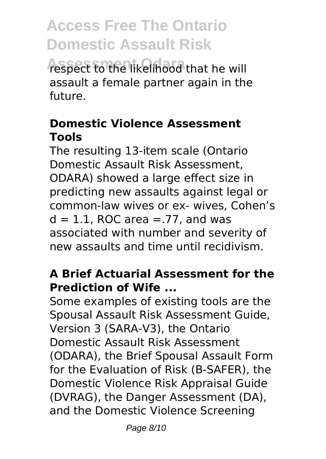respect to the likelihood that he will assault a female partner again in the future.

### **Domestic Violence Assessment Tools**

The resulting 13-item scale (Ontario Domestic Assault Risk Assessment, ODARA) showed a large effect size in predicting new assaults against legal or common-law wives or ex- wives, Cohen's  $d = 1.1$ , ROC area = .77, and was associated with number and severity of new assaults and time until recidivism.

### **A Brief Actuarial Assessment for the Prediction of Wife ...**

Some examples of existing tools are the Spousal Assault Risk Assessment Guide, Version 3 (SARA-V3), the Ontario Domestic Assault Risk Assessment (ODARA), the Brief Spousal Assault Form for the Evaluation of Risk (B-SAFER), the Domestic Violence Risk Appraisal Guide (DVRAG), the Danger Assessment (DA), and the Domestic Violence Screening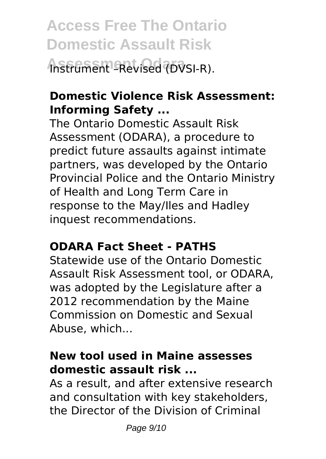**Access Free The Ontario Domestic Assault Risk Assessment Odara** Instrument –Revised (DVSI-R).

## **Domestic Violence Risk Assessment: Informing Safety ...**

The Ontario Domestic Assault Risk Assessment (ODARA), a procedure to predict future assaults against intimate partners, was developed by the Ontario Provincial Police and the Ontario Ministry of Health and Long Term Care in response to the May/Iles and Hadley inquest recommendations.

### **ODARA Fact Sheet - PATHS**

Statewide use of the Ontario Domestic Assault Risk Assessment tool, or ODARA, was adopted by the Legislature after a 2012 recommendation by the Maine Commission on Domestic and Sexual Abuse, which...

### **New tool used in Maine assesses domestic assault risk ...**

As a result, and after extensive research and consultation with key stakeholders, the Director of the Division of Criminal